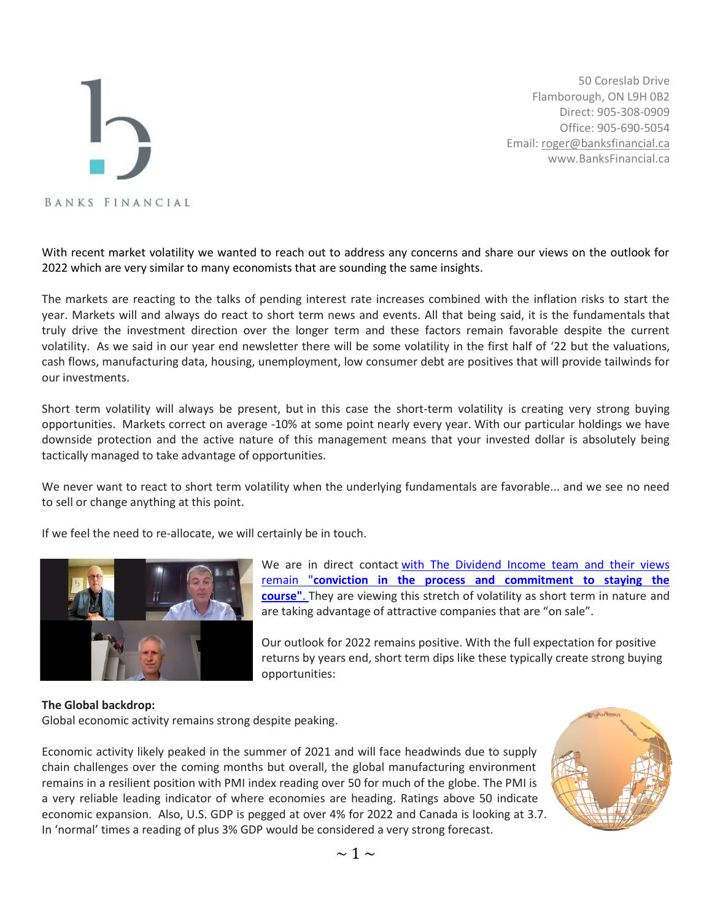## BANKS FINANCIAL

50 Coreslab Drive Flamborough, ON L9H 0B2 Direct: 905-308-0909 Office: 905-690-5054 Email[: roger@banksfinancial.ca](mailto:roger@banksfinancial.ca) www.BanksFinancial.ca

With recent market volatility we wanted to reach out to address any concerns and share our views on the outlook for 2022 which are very similar to many economists that are sounding the same insights.

The markets are reacting to the talks of pending interest rate increases combined with the inflation risks to start the year. Markets will and always do react to short term news and events. All that being said, it is the fundamentals that truly drive the investment direction over the longer term and these factors remain favorable despite the current volatility. As we said in our year end newsletter there will be some volatility in the first half of '22 but the valuations, cash flows, manufacturing data, housing, unemployment, low consumer debt are positives that will provide tailwinds for our investments.

Short term volatility will always be present, but in this case the short-term volatility is creating very strong buying opportunities. Markets correct on average -10% at some point nearly every year. With our particular holdings we have downside protection and the active nature of this management means that your invested dollar is absolutely being tactically managed to take advantage of opportunities.

We never want to react to short term volatility when the underlying fundamentals are favorable... and we see no need to sell or change anything at this point.

If we feel the need to re-allocate, we will certainly be in touch.



We are in direct contact [with The Dividend Income team and their views](https://www.banksfinancial.ca/resources)  remain "**[conviction in the process and commitment to staying the](https://www.banksfinancial.ca/resources)  [course"](https://www.banksfinancial.ca/resources)**. They are viewing this stretch of volatility as short term in nature and are taking advantage of attractive companies that are "on sale".

Our outlook for 2022 remains positive. With the full expectation for positive returns by years end, short term dips like these typically create strong buying opportunities:

## **The Global backdrop:**

Global economic activity remains strong despite peaking.

Economic activity likely peaked in the summer of 2021 and will face headwinds due to supply chain challenges over the coming months but overall, the global manufacturing environment remains in a resilient position with PMI index reading over 50 for much of the globe. The PMI is a very reliable leading indicator of where economies are heading. Ratings above 50 indicate economic expansion. Also, U.S. GDP is pegged at over 4% for 2022 and Canada is looking at 3.7. In 'normal' times a reading of plus 3% GDP would be considered a very strong forecast.